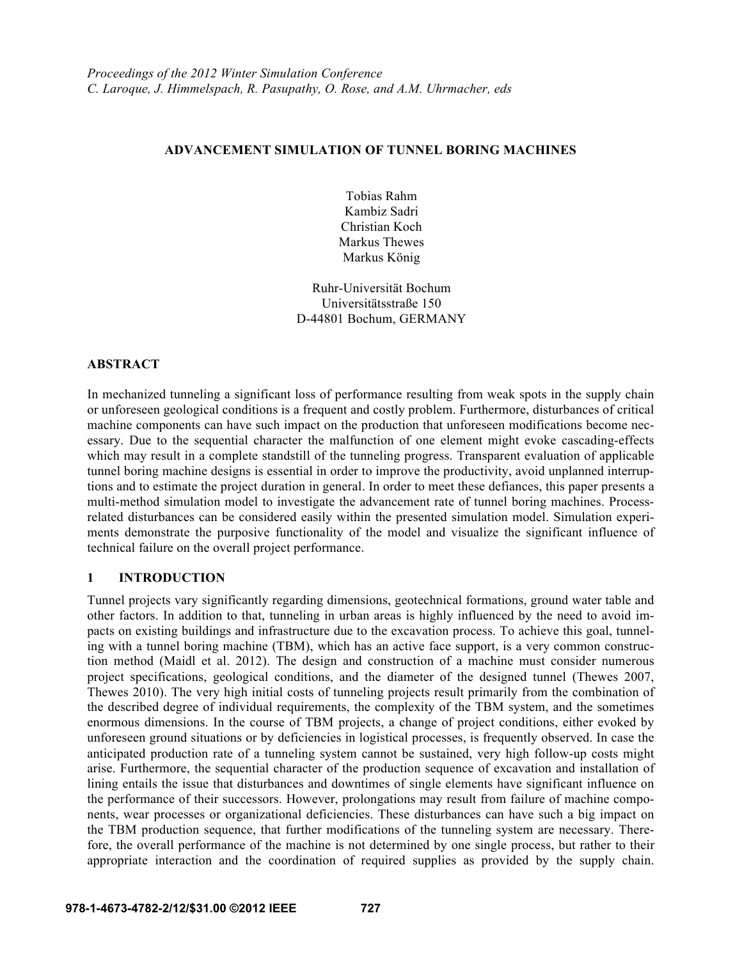## **ADVANCEMENT SIMULATION OF TUNNEL BORING MACHINES**

Tobias Rahm Kambiz Sadri Christian Koch Markus Thewes Markus König

Ruhr-Universität Bochum Universitätsstraße 150 D-44801 Bochum, GERMANY

### **ABSTRACT**

In mechanized tunneling a significant loss of performance resulting from weak spots in the supply chain or unforeseen geological conditions is a frequent and costly problem. Furthermore, disturbances of critical machine components can have such impact on the production that unforeseen modifications become necessary. Due to the sequential character the malfunction of one element might evoke cascading-effects which may result in a complete standstill of the tunneling progress. Transparent evaluation of applicable tunnel boring machine designs is essential in order to improve the productivity, avoid unplanned interruptions and to estimate the project duration in general. In order to meet these defiances, this paper presents a multi-method simulation model to investigate the advancement rate of tunnel boring machines. Processrelated disturbances can be considered easily within the presented simulation model. Simulation experiments demonstrate the purposive functionality of the model and visualize the significant influence of technical failure on the overall project performance.

## **1 INTRODUCTION**

Tunnel projects vary significantly regarding dimensions, geotechnical formations, ground water table and other factors. In addition to that, tunneling in urban areas is highly influenced by the need to avoid impacts on existing buildings and infrastructure due to the excavation process. To achieve this goal, tunneling with a tunnel boring machine (TBM), which has an active face support, is a very common construction method (Maidl et al. 2012). The design and construction of a machine must consider numerous project specifications, geological conditions, and the diameter of the designed tunnel (Thewes 2007, Thewes 2010). The very high initial costs of tunneling projects result primarily from the combination of the described degree of individual requirements, the complexity of the TBM system, and the sometimes enormous dimensions. In the course of TBM projects, a change of project conditions, either evoked by unforeseen ground situations or by deficiencies in logistical processes, is frequently observed. In case the anticipated production rate of a tunneling system cannot be sustained, very high follow-up costs might arise. Furthermore, the sequential character of the production sequence of excavation and installation of lining entails the issue that disturbances and downtimes of single elements have significant influence on the performance of their successors. However, prolongations may result from failure of machine components, wear processes or organizational deficiencies. These disturbances can have such a big impact on the TBM production sequence, that further modifications of the tunneling system are necessary. Therefore, the overall performance of the machine is not determined by one single process, but rather to their appropriate interaction and the coordination of required supplies as provided by the supply chain.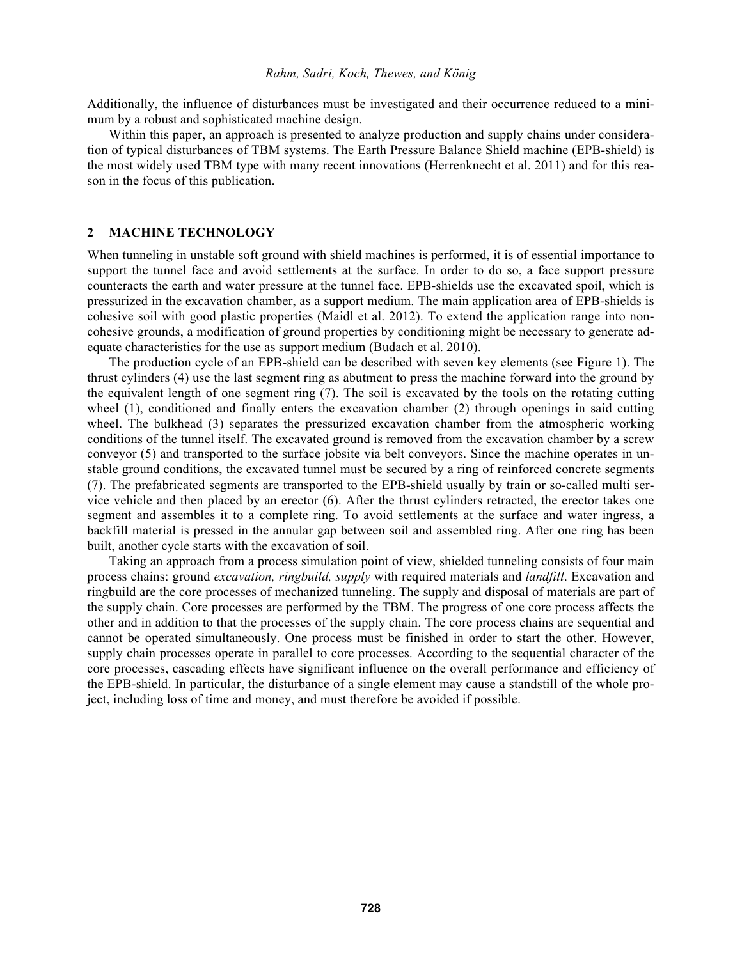Additionally, the influence of disturbances must be investigated and their occurrence reduced to a minimum by a robust and sophisticated machine design.

Within this paper, an approach is presented to analyze production and supply chains under consideration of typical disturbances of TBM systems. The Earth Pressure Balance Shield machine (EPB-shield) is the most widely used TBM type with many recent innovations (Herrenknecht et al. 2011) and for this reason in the focus of this publication.

## **2 MACHINE TECHNOLOGY**

When tunneling in unstable soft ground with shield machines is performed, it is of essential importance to support the tunnel face and avoid settlements at the surface. In order to do so, a face support pressure counteracts the earth and water pressure at the tunnel face. EPB-shields use the excavated spoil, which is pressurized in the excavation chamber, as a support medium. The main application area of EPB-shields is cohesive soil with good plastic properties (Maidl et al. 2012). To extend the application range into noncohesive grounds, a modification of ground properties by conditioning might be necessary to generate adequate characteristics for the use as support medium (Budach et al. 2010).

The production cycle of an EPB-shield can be described with seven key elements (see Figure 1). The thrust cylinders (4) use the last segment ring as abutment to press the machine forward into the ground by the equivalent length of one segment ring (7). The soil is excavated by the tools on the rotating cutting wheel (1), conditioned and finally enters the excavation chamber (2) through openings in said cutting wheel. The bulkhead (3) separates the pressurized excavation chamber from the atmospheric working conditions of the tunnel itself. The excavated ground is removed from the excavation chamber by a screw conveyor (5) and transported to the surface jobsite via belt conveyors. Since the machine operates in unstable ground conditions, the excavated tunnel must be secured by a ring of reinforced concrete segments (7). The prefabricated segments are transported to the EPB-shield usually by train or so-called multi service vehicle and then placed by an erector (6). After the thrust cylinders retracted, the erector takes one segment and assembles it to a complete ring. To avoid settlements at the surface and water ingress, a backfill material is pressed in the annular gap between soil and assembled ring. After one ring has been built, another cycle starts with the excavation of soil.

Taking an approach from a process simulation point of view, shielded tunneling consists of four main process chains: ground *excavation, ringbuild, supply* with required materials and *landfill*. Excavation and ringbuild are the core processes of mechanized tunneling. The supply and disposal of materials are part of the supply chain. Core processes are performed by the TBM. The progress of one core process affects the other and in addition to that the processes of the supply chain. The core process chains are sequential and cannot be operated simultaneously. One process must be finished in order to start the other. However, supply chain processes operate in parallel to core processes. According to the sequential character of the core processes, cascading effects have significant influence on the overall performance and efficiency of the EPB-shield. In particular, the disturbance of a single element may cause a standstill of the whole project, including loss of time and money, and must therefore be avoided if possible.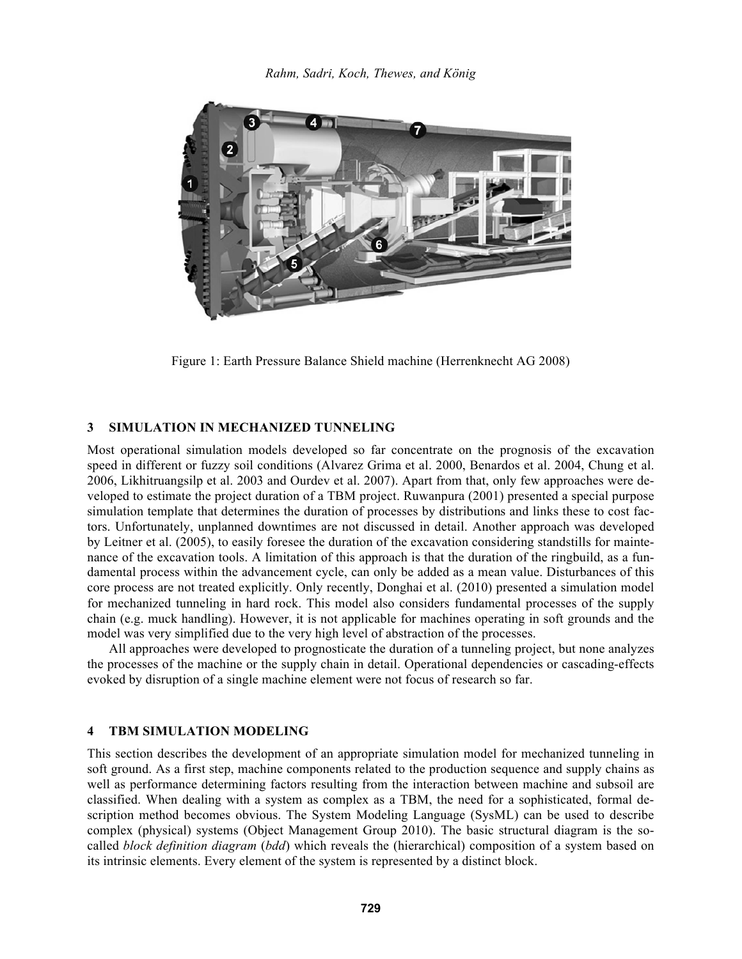

Figure 1: Earth Pressure Balance Shield machine (Herrenknecht AG 2008)

### **3 SIMULATION IN MECHANIZED TUNNELING**

Most operational simulation models developed so far concentrate on the prognosis of the excavation speed in different or fuzzy soil conditions (Alvarez Grima et al. 2000, Benardos et al. 2004, Chung et al. 2006, Likhitruangsilp et al. 2003 and Ourdev et al. 2007). Apart from that, only few approaches were developed to estimate the project duration of a TBM project. Ruwanpura (2001) presented a special purpose simulation template that determines the duration of processes by distributions and links these to cost factors. Unfortunately, unplanned downtimes are not discussed in detail. Another approach was developed by Leitner et al. (2005), to easily foresee the duration of the excavation considering standstills for maintenance of the excavation tools. A limitation of this approach is that the duration of the ringbuild, as a fundamental process within the advancement cycle, can only be added as a mean value. Disturbances of this core process are not treated explicitly. Only recently, Donghai et al. (2010) presented a simulation model for mechanized tunneling in hard rock. This model also considers fundamental processes of the supply chain (e.g. muck handling). However, it is not applicable for machines operating in soft grounds and the model was very simplified due to the very high level of abstraction of the processes.

All approaches were developed to prognosticate the duration of a tunneling project, but none analyzes the processes of the machine or the supply chain in detail. Operational dependencies or cascading-effects evoked by disruption of a single machine element were not focus of research so far.

### **4 TBM SIMULATION MODELING**

This section describes the development of an appropriate simulation model for mechanized tunneling in soft ground. As a first step, machine components related to the production sequence and supply chains as well as performance determining factors resulting from the interaction between machine and subsoil are classified. When dealing with a system as complex as a TBM, the need for a sophisticated, formal description method becomes obvious. The System Modeling Language (SysML) can be used to describe complex (physical) systems (Object Management Group 2010). The basic structural diagram is the socalled *block definition diagram* (*bdd*) which reveals the (hierarchical) composition of a system based on its intrinsic elements. Every element of the system is represented by a distinct block.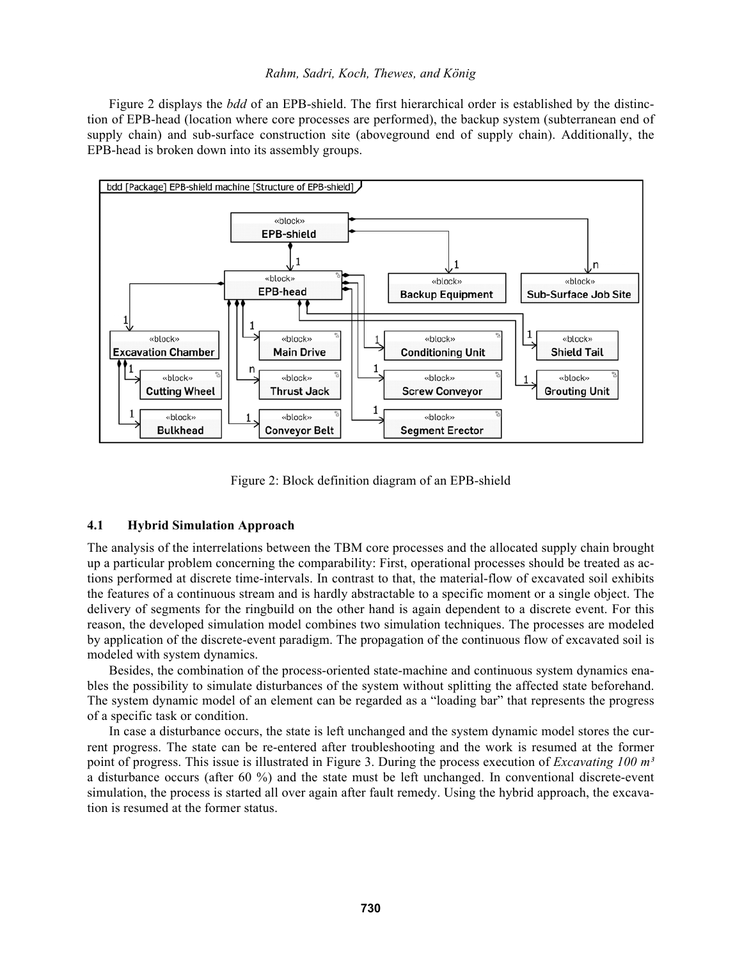Figure 2 displays the *bdd* of an EPB-shield. The first hierarchical order is established by the distinction of EPB-head (location where core processes are performed), the backup system (subterranean end of supply chain) and sub-surface construction site (aboveground end of supply chain). Additionally, the EPB-head is broken down into its assembly groups.



Figure 2: Block definition diagram of an EPB-shield

### **4.1 Hybrid Simulation Approach**

The analysis of the interrelations between the TBM core processes and the allocated supply chain brought up a particular problem concerning the comparability: First, operational processes should be treated as actions performed at discrete time-intervals. In contrast to that, the material-flow of excavated soil exhibits the features of a continuous stream and is hardly abstractable to a specific moment or a single object. The delivery of segments for the ringbuild on the other hand is again dependent to a discrete event. For this reason, the developed simulation model combines two simulation techniques. The processes are modeled by application of the discrete-event paradigm. The propagation of the continuous flow of excavated soil is modeled with system dynamics.

Besides, the combination of the process-oriented state-machine and continuous system dynamics enables the possibility to simulate disturbances of the system without splitting the affected state beforehand. The system dynamic model of an element can be regarded as a "loading bar" that represents the progress of a specific task or condition.

In case a disturbance occurs, the state is left unchanged and the system dynamic model stores the current progress. The state can be re-entered after troubleshooting and the work is resumed at the former point of progress. This issue is illustrated in Figure 3. During the process execution of *Excavating 100 m³* a disturbance occurs (after 60 %) and the state must be left unchanged. In conventional discrete-event simulation, the process is started all over again after fault remedy. Using the hybrid approach, the excavation is resumed at the former status.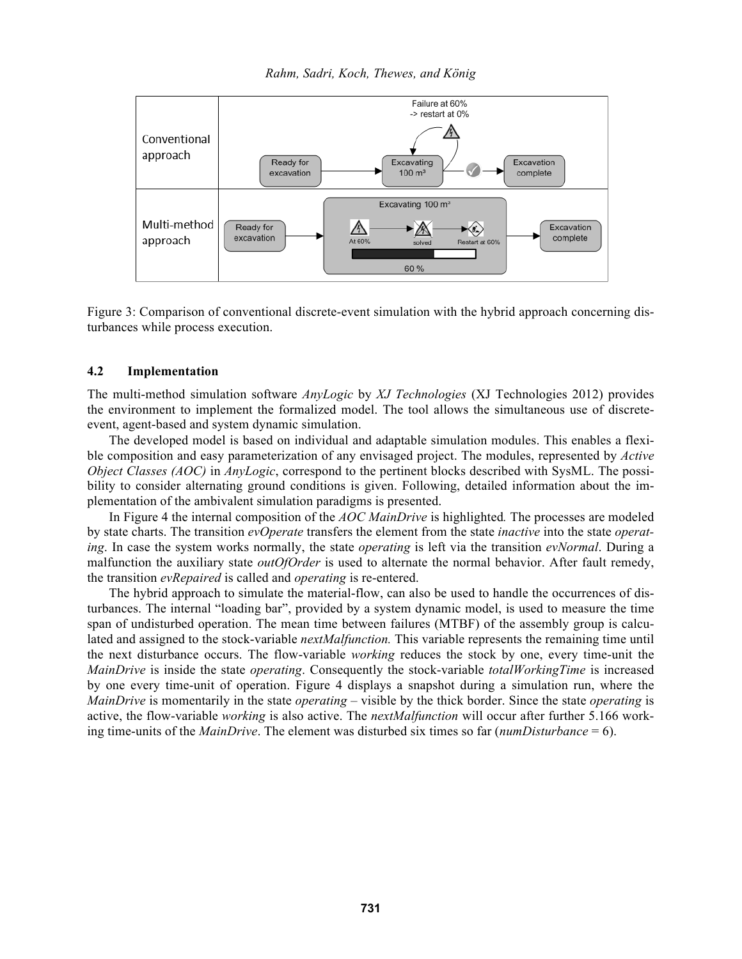

Figure 3: Comparison of conventional discrete-event simulation with the hybrid approach concerning disturbances while process execution.

### **4.2 Implementation**

The multi-method simulation software *AnyLogic* by *XJ Technologies* (XJ Technologies 2012) provides the environment to implement the formalized model. The tool allows the simultaneous use of discreteevent, agent-based and system dynamic simulation.

The developed model is based on individual and adaptable simulation modules. This enables a flexible composition and easy parameterization of any envisaged project. The modules, represented by *Active Object Classes (AOC)* in *AnyLogic*, correspond to the pertinent blocks described with SysML. The possibility to consider alternating ground conditions is given. Following, detailed information about the implementation of the ambivalent simulation paradigms is presented.

In Figure 4 the internal composition of the *AOC MainDrive* is highlighted*.* The processes are modeled by state charts. The transition *evOperate* transfers the element from the state *inactive* into the state *operating*. In case the system works normally, the state *operating* is left via the transition *evNormal*. During a malfunction the auxiliary state *outOfOrder* is used to alternate the normal behavior. After fault remedy, the transition *evRepaired* is called and *operating* is re-entered.

The hybrid approach to simulate the material-flow, can also be used to handle the occurrences of disturbances. The internal "loading bar", provided by a system dynamic model, is used to measure the time span of undisturbed operation. The mean time between failures (MTBF) of the assembly group is calculated and assigned to the stock-variable *nextMalfunction.* This variable represents the remaining time until the next disturbance occurs. The flow-variable *working* reduces the stock by one, every time-unit the *MainDrive* is inside the state *operating*. Consequently the stock-variable *totalWorkingTime* is increased by one every time-unit of operation. Figure 4 displays a snapshot during a simulation run, where the *MainDrive* is momentarily in the state *operating* – visible by the thick border. Since the state *operating* is active, the flow-variable *working* is also active. The *nextMalfunction* will occur after further 5.166 working time-units of the *MainDrive*. The element was disturbed six times so far (*numDisturbance* = 6).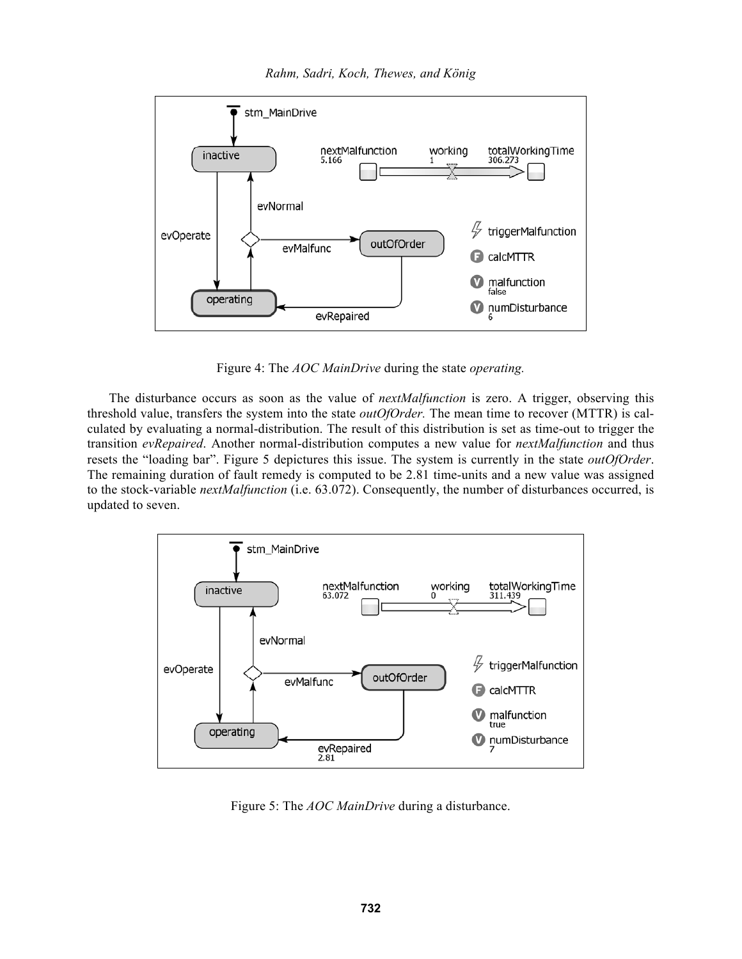*Rahm, Sadri, Koch, Thewes, and König* 



Figure 4: The *AOC MainDrive* during the state *operating.*

The disturbance occurs as soon as the value of *nextMalfunction* is zero. A trigger, observing this threshold value, transfers the system into the state *outOfOrder.* The mean time to recover (MTTR) is calculated by evaluating a normal-distribution. The result of this distribution is set as time-out to trigger the transition *evRepaired*. Another normal-distribution computes a new value for *nextMalfunction* and thus resets the "loading bar". Figure 5 depictures this issue. The system is currently in the state *outOfOrder*. The remaining duration of fault remedy is computed to be 2.81 time-units and a new value was assigned to the stock-variable *nextMalfunction* (i.e. 63.072). Consequently, the number of disturbances occurred, is updated to seven.



Figure 5: The *AOC MainDrive* during a disturbance.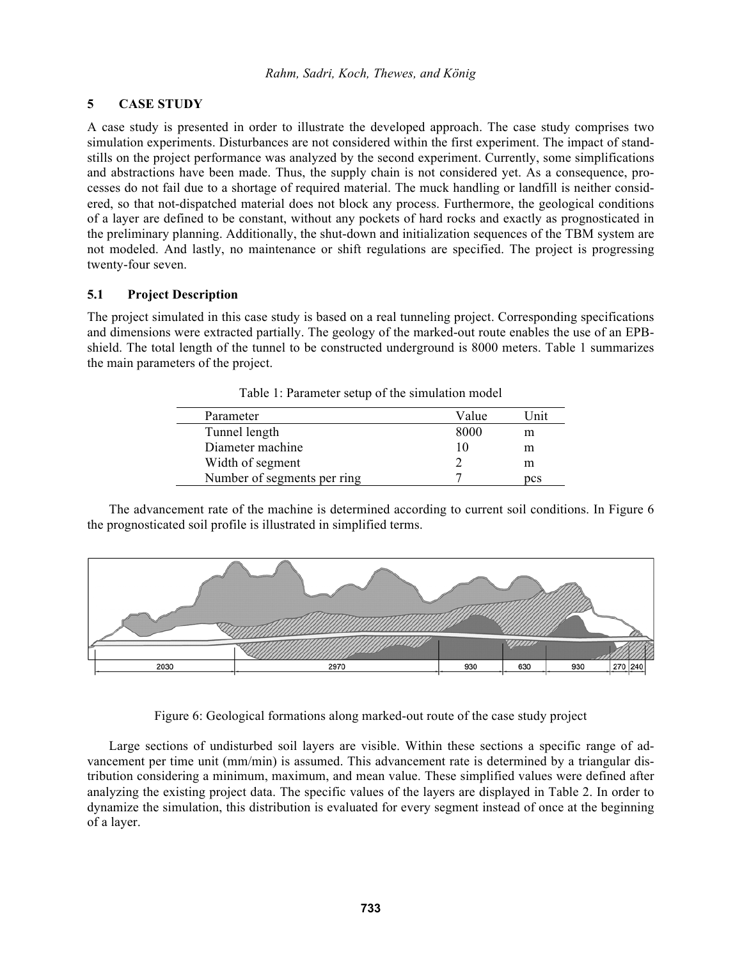# **5 CASE STUDY**

A case study is presented in order to illustrate the developed approach. The case study comprises two simulation experiments. Disturbances are not considered within the first experiment. The impact of standstills on the project performance was analyzed by the second experiment. Currently, some simplifications and abstractions have been made. Thus, the supply chain is not considered yet. As a consequence, processes do not fail due to a shortage of required material. The muck handling or landfill is neither considered, so that not-dispatched material does not block any process. Furthermore, the geological conditions of a layer are defined to be constant, without any pockets of hard rocks and exactly as prognosticated in the preliminary planning. Additionally, the shut-down and initialization sequences of the TBM system are not modeled. And lastly, no maintenance or shift regulations are specified. The project is progressing twenty-four seven.

# **5.1 Project Description**

The project simulated in this case study is based on a real tunneling project. Corresponding specifications and dimensions were extracted partially. The geology of the marked-out route enables the use of an EPBshield. The total length of the tunnel to be constructed underground is 8000 meters. Table 1 summarizes the main parameters of the project.

| Parameter                   | Value | I Jnit |
|-----------------------------|-------|--------|
| Tunnel length               | 8000  | m      |
| Diameter machine            | 10    | m      |
| Width of segment            |       | m      |
| Number of segments per ring |       | pcs    |

Table 1: Parameter setup of the simulation model

The advancement rate of the machine is determined according to current soil conditions. In Figure 6 the prognosticated soil profile is illustrated in simplified terms.



Figure 6: Geological formations along marked-out route of the case study project

Large sections of undisturbed soil layers are visible. Within these sections a specific range of advancement per time unit (mm/min) is assumed. This advancement rate is determined by a triangular distribution considering a minimum, maximum, and mean value. These simplified values were defined after analyzing the existing project data. The specific values of the layers are displayed in Table 2. In order to dynamize the simulation, this distribution is evaluated for every segment instead of once at the beginning of a layer.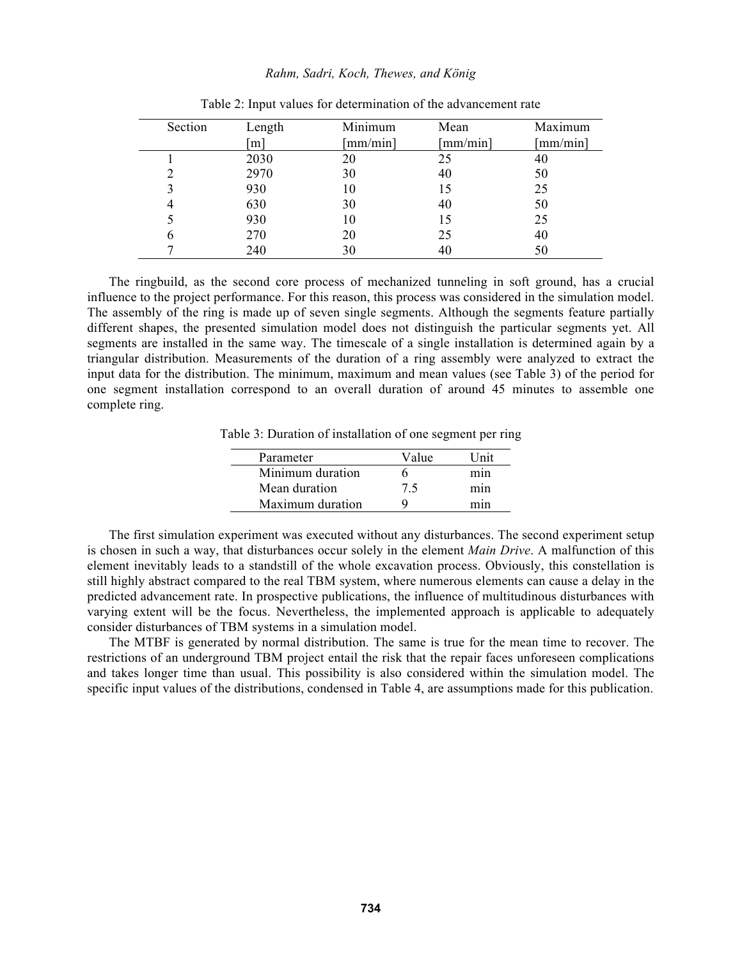| Section | Length | Minimum                  | Mean             | Maximum                  |
|---------|--------|--------------------------|------------------|--------------------------|
|         | m      | $\lceil$ mm/min $\rceil$ | ${\rm [mm/min]}$ | $\lceil$ mm/min $\rceil$ |
|         | 2030   | 20                       | 25               | 40                       |
| 2       | 2970   | 30                       | 40               | 50                       |
| 3       | 930    | 10                       | 15               | 25                       |
| 4       | 630    | 30                       | 40               | 50                       |
|         | 930    | 10                       | 15               | 25                       |
| 6       | 270    | 20                       | 25               | 40                       |
| ⇁       | 240    | 30                       | 40               | 50                       |
|         |        |                          |                  |                          |

|  |  |  | Table 2: Input values for determination of the advancement rate |
|--|--|--|-----------------------------------------------------------------|
|--|--|--|-----------------------------------------------------------------|

The ringbuild, as the second core process of mechanized tunneling in soft ground, has a crucial influence to the project performance. For this reason, this process was considered in the simulation model. The assembly of the ring is made up of seven single segments. Although the segments feature partially different shapes, the presented simulation model does not distinguish the particular segments yet. All segments are installed in the same way. The timescale of a single installation is determined again by a triangular distribution. Measurements of the duration of a ring assembly were analyzed to extract the input data for the distribution. The minimum, maximum and mean values (see Table 3) of the period for one segment installation correspond to an overall duration of around 45 minutes to assemble one complete ring.

Table 3: Duration of installation of one segment per ring

| Parameter        | Value | Tnit |
|------------------|-------|------|
| Minimum duration | n     | mın  |
| Mean duration    | 75    | mın  |
| Maximum duration |       | mın  |
|                  |       |      |

The first simulation experiment was executed without any disturbances. The second experiment setup is chosen in such a way, that disturbances occur solely in the element *Main Drive*. A malfunction of this element inevitably leads to a standstill of the whole excavation process. Obviously, this constellation is still highly abstract compared to the real TBM system, where numerous elements can cause a delay in the predicted advancement rate. In prospective publications, the influence of multitudinous disturbances with varying extent will be the focus. Nevertheless, the implemented approach is applicable to adequately consider disturbances of TBM systems in a simulation model.

The MTBF is generated by normal distribution. The same is true for the mean time to recover. The restrictions of an underground TBM project entail the risk that the repair faces unforeseen complications and takes longer time than usual. This possibility is also considered within the simulation model. The specific input values of the distributions, condensed in Table 4, are assumptions made for this publication.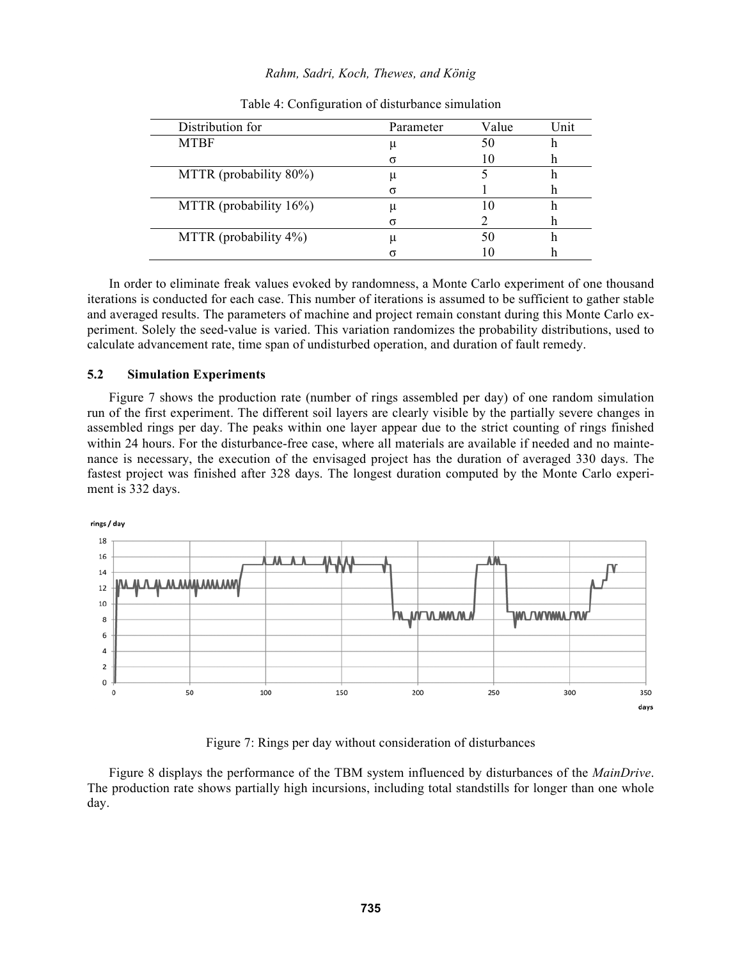| Distribution for           | Parameter | Value | Unit |
|----------------------------|-----------|-------|------|
| <b>MTBF</b>                | u         |       |      |
|                            |           |       |      |
| MTTR (probability 80%)     | u         |       | п    |
|                            |           |       |      |
| MTTR (probability $16\%$ ) |           |       | n    |
|                            |           |       | n    |
| MTTR (probability 4%)      |           |       |      |
|                            |           |       |      |

#### Table 4: Configuration of disturbance simulation

In order to eliminate freak values evoked by randomness, a Monte Carlo experiment of one thousand iterations is conducted for each case. This number of iterations is assumed to be sufficient to gather stable and averaged results. The parameters of machine and project remain constant during this Monte Carlo experiment. Solely the seed-value is varied. This variation randomizes the probability distributions, used to calculate advancement rate, time span of undisturbed operation, and duration of fault remedy.

### **5.2 Simulation Experiments**

Figure 7 shows the production rate (number of rings assembled per day) of one random simulation run of the first experiment. The different soil layers are clearly visible by the partially severe changes in assembled rings per day. The peaks within one layer appear due to the strict counting of rings finished within 24 hours. For the disturbance-free case, where all materials are available if needed and no maintenance is necessary, the execution of the envisaged project has the duration of averaged 330 days. The fastest project was finished after 328 days. The longest duration computed by the Monte Carlo experiment is 332 days.



Figure 7: Rings per day without consideration of disturbances

Figure 8 displays the performance of the TBM system influenced by disturbances of the *MainDrive*. The production rate shows partially high incursions, including total standstills for longer than one whole day.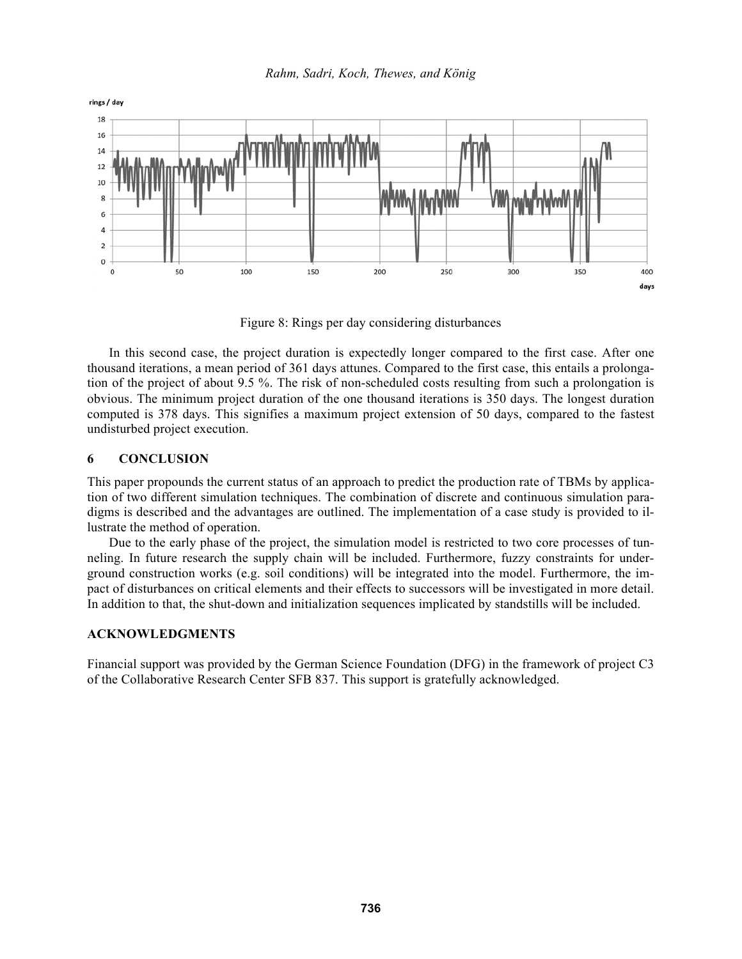

Figure 8: Rings per day considering disturbances

In this second case, the project duration is expectedly longer compared to the first case. After one thousand iterations, a mean period of 361 days attunes. Compared to the first case, this entails a prolongation of the project of about 9.5 %. The risk of non-scheduled costs resulting from such a prolongation is obvious. The minimum project duration of the one thousand iterations is 350 days. The longest duration computed is 378 days. This signifies a maximum project extension of 50 days, compared to the fastest undisturbed project execution.

# **6 CONCLUSION**

This paper propounds the current status of an approach to predict the production rate of TBMs by application of two different simulation techniques. The combination of discrete and continuous simulation paradigms is described and the advantages are outlined. The implementation of a case study is provided to illustrate the method of operation.

Due to the early phase of the project, the simulation model is restricted to two core processes of tunneling. In future research the supply chain will be included. Furthermore, fuzzy constraints for underground construction works (e.g. soil conditions) will be integrated into the model. Furthermore, the impact of disturbances on critical elements and their effects to successors will be investigated in more detail. In addition to that, the shut-down and initialization sequences implicated by standstills will be included.

## **ACKNOWLEDGMENTS**

Financial support was provided by the German Science Foundation (DFG) in the framework of project C3 of the Collaborative Research Center SFB 837. This support is gratefully acknowledged.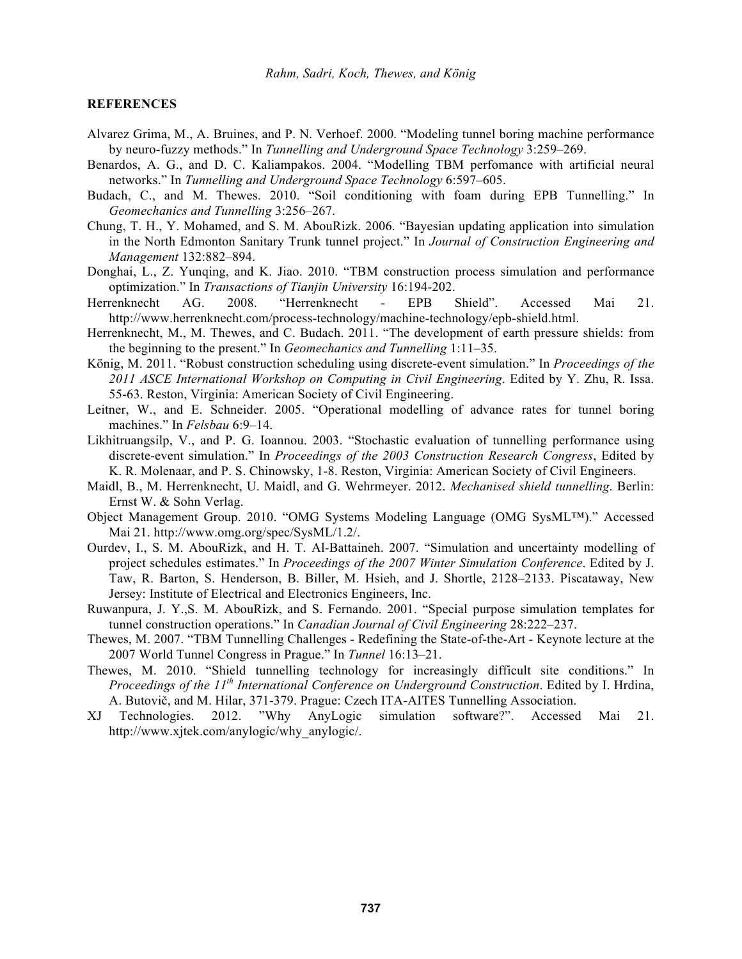### **REFERENCES**

- Alvarez Grima, M., A. Bruines, and P. N. Verhoef. 2000. "Modeling tunnel boring machine performance by neuro-fuzzy methods." In *Tunnelling and Underground Space Technology* 3:259–269.
- Benardos, A. G., and D. C. Kaliampakos. 2004. "Modelling TBM perfomance with artificial neural networks." In *Tunnelling and Underground Space Technology* 6:597–605.
- Budach, C., and M. Thewes. 2010. "Soil conditioning with foam during EPB Tunnelling." In *Geomechanics and Tunnelling* 3:256–267.
- Chung, T. H., Y. Mohamed, and S. M. AbouRizk. 2006. "Bayesian updating application into simulation in the North Edmonton Sanitary Trunk tunnel project." In *Journal of Construction Engineering and Management* 132:882–894.
- Donghai, L., Z. Yunqing, and K. Jiao. 2010. "TBM construction process simulation and performance optimization." In *Transactions of Tianjin University* 16:194-202.
- Herrenknecht AG. 2008. "Herrenknecht EPB Shield". Accessed Mai 21. http://www.herrenknecht.com/process-technology/machine-technology/epb-shield.html.
- Herrenknecht, M., M. Thewes, and C. Budach. 2011. "The development of earth pressure shields: from the beginning to the present." In *Geomechanics and Tunnelling* 1:11–35.
- König, M. 2011. "Robust construction scheduling using discrete-event simulation." In *Proceedings of the 2011 ASCE International Workshop on Computing in Civil Engineering*. Edited by Y. Zhu, R. Issa. 55-63. Reston, Virginia: American Society of Civil Engineering.
- Leitner, W., and E. Schneider. 2005. "Operational modelling of advance rates for tunnel boring machines." In *Felsbau* 6:9–14.
- Likhitruangsilp, V., and P. G. Ioannou. 2003. "Stochastic evaluation of tunnelling performance using discrete-event simulation." In *Proceedings of the 2003 Construction Research Congress*, Edited by K. R. Molenaar, and P. S. Chinowsky, 1-8. Reston, Virginia: American Society of Civil Engineers.
- Maidl, B., M. Herrenknecht, U. Maidl, and G. Wehrmeyer. 2012. *Mechanised shield tunnelling*. Berlin: Ernst W. & Sohn Verlag.
- Object Management Group. 2010. "OMG Systems Modeling Language (OMG SysML™)." Accessed Mai 21. http://www.omg.org/spec/SysML/1.2/.
- Ourdev, I., S. M. AbouRizk, and H. T. Al-Battaineh. 2007. "Simulation and uncertainty modelling of project schedules estimates." In *Proceedings of the 2007 Winter Simulation Conference*. Edited by J. Taw, R. Barton, S. Henderson, B. Biller, M. Hsieh, and J. Shortle, 2128–2133. Piscataway, New Jersey: Institute of Electrical and Electronics Engineers, Inc.
- Ruwanpura, J. Y.,S. M. AbouRizk, and S. Fernando. 2001. "Special purpose simulation templates for tunnel construction operations." In *Canadian Journal of Civil Engineering* 28:222–237.
- Thewes, M. 2007. "TBM Tunnelling Challenges Redefining the State-of-the-Art Keynote lecture at the 2007 World Tunnel Congress in Prague." In *Tunnel* 16:13–21.
- Thewes, M. 2010. "Shield tunnelling technology for increasingly difficult site conditions." In *Proceedings of the 11th International Conference on Underground Construction*. Edited by I. Hrdina, A. Butovič, and M. Hilar, 371-379. Prague: Czech ITA-AITES Tunnelling Association.
- XJ Technologies. 2012. "Why AnyLogic simulation software?". Accessed Mai 21. http://www.xjtek.com/anylogic/why\_anylogic/.